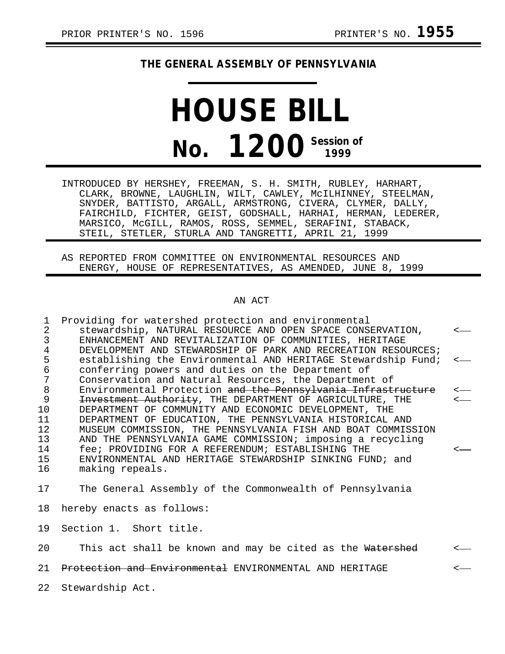### **THE GENERAL ASSEMBLY OF PENNSYLVANIA**

# **HOUSE BILL No. 1200 Session of**

INTRODUCED BY HERSHEY, FREEMAN, S. H. SMITH, RUBLEY, HARHART, CLARK, BROWNE, LAUGHLIN, WILT, CAWLEY, McILHINNEY, STEELMAN, SNYDER, BATTISTO, ARGALL, ARMSTRONG, CIVERA, CLYMER, DALLY, FAIRCHILD, FICHTER, GEIST, GODSHALL, HARHAI, HERMAN, LEDERER, MARSICO, McGILL, RAMOS, ROSS, SEMMEL, SERAFINI, STABACK, STEIL, STETLER, STURLA AND TANGRETTI, APRIL 21, 1999

AS REPORTED FROM COMMITTEE ON ENVIRONMENTAL RESOURCES AND ENERGY, HOUSE OF REPRESENTATIVES, AS AMENDED, JUNE 8, 1999

#### AN ACT

1 Providing for watershed protection and environmental 2 stewardship, NATURAL RESOURCE AND OPEN SPACE CONSERVATION, < 3 ENHANCEMENT AND REVITALIZATION OF COMMUNITIES, HERITAGE 4 DEVELOPMENT AND STEWARDSHIP OF PARK AND RECREATION RESOURCES;<br>5 establishing the Environmental AND HERITAGE Stewardship Fund; 5 establishing the Environmental AND HERITAGE Stewardship Fund;<br>6 conferring powers and duties on the Department of 6 conferring powers and duties on the Department of 7 Conservation and Natural Resources, the Department of<br>8 Environmental Protection <del>and the Pennsylvania Infrast</del> 8 Environmental Protection <del>and the Pennsylvania Infrastructure</del><br>9 H<del>avestment Authority</del>, THE DEPARTMENT OF AGRICULTURE, THE Investment Authority, THE DEPARTMENT OF AGRICULTURE, THE 10 DEPARTMENT OF COMMUNITY AND ECONOMIC DEVELOPMENT, THE 11 DEPARTMENT OF EDUCATION, THE PENNSYLVANIA HISTORICAL AND 12 MUSEUM COMMISSION, THE PENNSYLVANIA FISH AND BOAT COMMISSION<br>13 AND THE PENNSYLVANIA GAME COMMISSION; imposing a recycling 13 AND THE PENNSYLVANIA GAME COMMISSION; imposing a recycling<br>14 fee; PROVIDING FOR A REFERENDUM; ESTABLISHING THE 14 fee; PROVIDING FOR A REFERENDUM; ESTABLISHING THE <-<br>15 ENVIRONMENTAL AND HERITAGE STEWARDSHIP SINKING FUND; and 15 ENVIRONMENTAL AND HERITAGE STEWARDSHIP SINKING FUND; and 16 making repeals.

17 The General Assembly of the Commonwealth of Pennsylvania

18 hereby enacts as follows:

19 Section 1. Short title.

20 This act shall be known and may be cited as the Watershed

21 P<del>rotection and Environmental</del> ENVIRONMENTAL AND HERITAGE  $\sim$ 

22 Stewardship Act.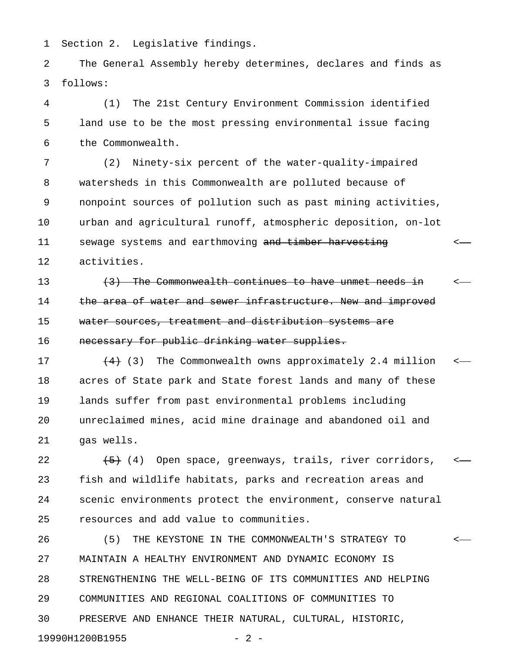1 Section 2. Legislative findings.

2 The General Assembly hereby determines, declares and finds as 3 follows:

4 (1) The 21st Century Environment Commission identified 5 land use to be the most pressing environmental issue facing 6 the Commonwealth.

7 (2) Ninety-six percent of the water-quality-impaired 8 watersheds in this Commonwealth are polluted because of 9 nonpoint sources of pollution such as past mining activities, 10 urban and agricultural runoff, atmospheric deposition, on-lot 11 sewage systems and earthmoving and timber harvesting  $\leftarrow$ 12 activities.

13 (3) The Commonwealth continues to have unmet needs in  $\leftarrow$ 14 the area of water and sewer infrastructure. New and improved 15 water sources, treatment and distribution systems are 16 **necessary for public drinking water supplies.** 

17  $(4)$  (3) The Commonwealth owns approximately 2.4 million  $\leftarrow$ 18 acres of State park and State forest lands and many of these 19 lands suffer from past environmental problems including 20 unreclaimed mines, acid mine drainage and abandoned oil and 21 gas wells.

22  $\leftarrow$   $\left\{\frac{5}{5}\right\}$  (4) Open space, greenways, trails, river corridors,  $\leftarrow$ 23 fish and wildlife habitats, parks and recreation areas and 24 scenic environments protect the environment, conserve natural 25 resources and add value to communities.

26 (5) THE KEYSTONE IN THE COMMONWEALTH'S STRATEGY TO < 27 MAINTAIN A HEALTHY ENVIRONMENT AND DYNAMIC ECONOMY IS 28 STRENGTHENING THE WELL-BEING OF ITS COMMUNITIES AND HELPING 29 COMMUNITIES AND REGIONAL COALITIONS OF COMMUNITIES TO 30 PRESERVE AND ENHANCE THEIR NATURAL, CULTURAL, HISTORIC, 19990H1200B1955 - 2 -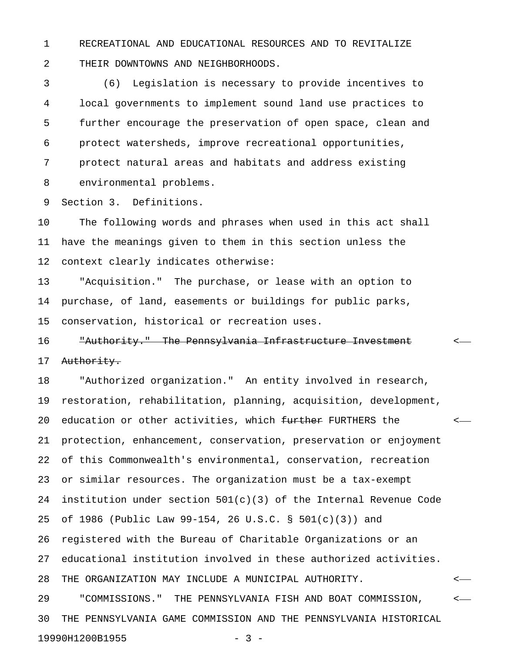1 RECREATIONAL AND EDUCATIONAL RESOURCES AND TO REVITALIZE 2 THEIR DOWNTOWNS AND NEIGHBORHOODS.

3 (6) Legislation is necessary to provide incentives to 4 local governments to implement sound land use practices to 5 further encourage the preservation of open space, clean and 6 protect watersheds, improve recreational opportunities, 7 protect natural areas and habitats and address existing 8 environmental problems.

9 Section 3. Definitions.

10 The following words and phrases when used in this act shall 11 have the meanings given to them in this section unless the 12 context clearly indicates otherwise:

13 "Acquisition." The purchase, or lease with an option to 14 purchase, of land, easements or buildings for public parks, 15 conservation, historical or recreation uses.

## 16 "Authority." The Pennsylvania Infrastructure Investment < 17 Authority.

18 "Authorized organization." An entity involved in research, 19 restoration, rehabilitation, planning, acquisition, development, 20 education or other activities, which <del>further</del> FURTHERS the  $\sim$ 21 protection, enhancement, conservation, preservation or enjoyment 22 of this Commonwealth's environmental, conservation, recreation 23 or similar resources. The organization must be a tax-exempt 24 institution under section 501(c)(3) of the Internal Revenue Code 25 of 1986 (Public Law 99-154, 26 U.S.C. § 501(c)(3)) and 26 registered with the Bureau of Charitable Organizations or an 27 educational institution involved in these authorized activities. 28 THE ORGANIZATION MAY INCLUDE A MUNICIPAL AUTHORITY. < 29 "COMMISSIONS." THE PENNSYLVANIA FISH AND BOAT COMMISSION, < 30 THE PENNSYLVANIA GAME COMMISSION AND THE PENNSYLVANIA HISTORICAL 19990H1200B1955 - 3 -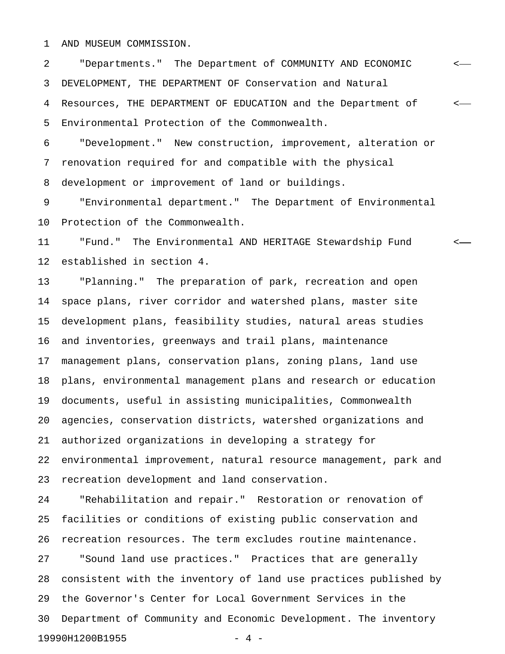1 AND MUSEUM COMMISSION.

2 "Departments." The Department of COMMUNITY AND ECONOMIC < 3 DEVELOPMENT, THE DEPARTMENT OF Conservation and Natural 4 Resources, THE DEPARTMENT OF EDUCATION and the Department of < 5 Environmental Protection of the Commonwealth.

6 "Development." New construction, improvement, alteration or 7 renovation required for and compatible with the physical 8 development or improvement of land or buildings.

9 "Environmental department." The Department of Environmental 10 Protection of the Commonwealth.

11 "Fund." The Environmental AND HERITAGE Stewardship Fund < 12 established in section 4.

13 "Planning." The preparation of park, recreation and open 14 space plans, river corridor and watershed plans, master site 15 development plans, feasibility studies, natural areas studies 16 and inventories, greenways and trail plans, maintenance 17 management plans, conservation plans, zoning plans, land use 18 plans, environmental management plans and research or education 19 documents, useful in assisting municipalities, Commonwealth 20 agencies, conservation districts, watershed organizations and 21 authorized organizations in developing a strategy for 22 environmental improvement, natural resource management, park and 23 recreation development and land conservation.

24 "Rehabilitation and repair." Restoration or renovation of 25 facilities or conditions of existing public conservation and 26 recreation resources. The term excludes routine maintenance. 27 "Sound land use practices." Practices that are generally 28 consistent with the inventory of land use practices published by 29 the Governor's Center for Local Government Services in the 30 Department of Community and Economic Development. The inventory 19990H1200B1955 - 4 -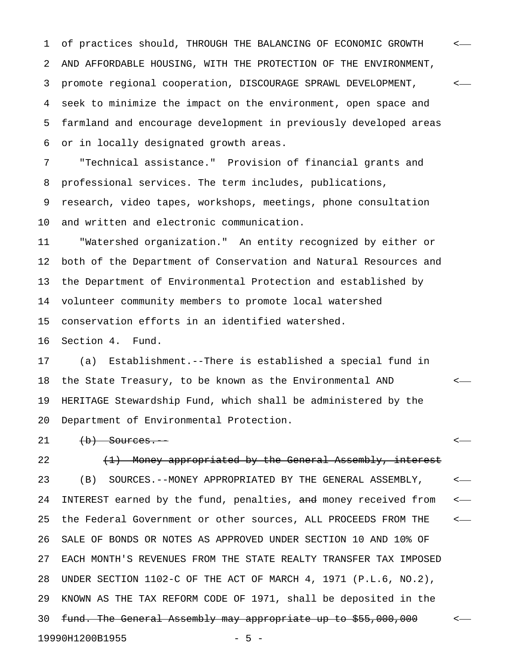1 of practices should, THROUGH THE BALANCING OF ECONOMIC GROWTH < 2 AND AFFORDABLE HOUSING, WITH THE PROTECTION OF THE ENVIRONMENT, 3 promote regional cooperation, DISCOURAGE SPRAWL DEVELOPMENT, < 4 seek to minimize the impact on the environment, open space and 5 farmland and encourage development in previously developed areas 6 or in locally designated growth areas.

7 "Technical assistance." Provision of financial grants and 8 professional services. The term includes, publications,

9 research, video tapes, workshops, meetings, phone consultation 10 and written and electronic communication.

11 "Watershed organization." An entity recognized by either or 12 both of the Department of Conservation and Natural Resources and 13 the Department of Environmental Protection and established by 14 volunteer community members to promote local watershed 15 conservation efforts in an identified watershed.

16 Section 4. Fund.

17 (a) Establishment.--There is established a special fund in 18 the State Treasury, to be known as the Environmental AND < 19 HERITAGE Stewardship Fund, which shall be administered by the 20 Department of Environmental Protection.

21 (b) Sources.  $\leftarrow$ 

22  $(1)$  Money appropriated by the General Assembly, interest 23 (B) SOURCES.--MONEY APPROPRIATED BY THE GENERAL ASSEMBLY, < 24 INTEREST earned by the fund, penalties, and money received from  $\leftarrow$ 25 the Federal Government or other sources, ALL PROCEEDS FROM THE < 26 SALE OF BONDS OR NOTES AS APPROVED UNDER SECTION 10 AND 10% OF 27 EACH MONTH'S REVENUES FROM THE STATE REALTY TRANSFER TAX IMPOSED 28 UNDER SECTION 1102-C OF THE ACT OF MARCH 4, 1971 (P.L.6, NO.2), 29 KNOWN AS THE TAX REFORM CODE OF 1971, shall be deposited in the 30 fund. The General Assembly may appropriate up to \$55,000,000 <-19990H1200B1955 - 5 -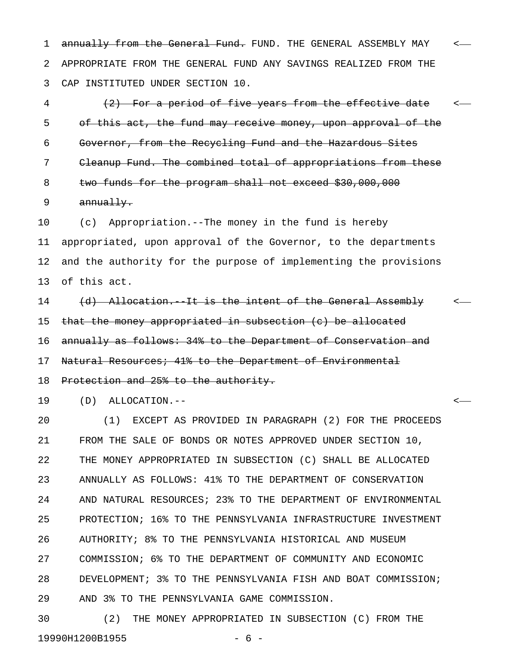1 annually from the General Fund. FUND. THE GENERAL ASSEMBLY MAY < 2 APPROPRIATE FROM THE GENERAL FUND ANY SAVINGS REALIZED FROM THE 3 CAP INSTITUTED UNDER SECTION 10.

4 (2) For a period of five years from the effective date <-5 of this act, the fund may receive money, upon approval of the 6 Governor, from the Recycling Fund and the Hazardous Sites 7 Cleanup Fund. The combined total of appropriations from these 8 two funds for the program shall not exceed \$30,000,000 9 annually.

10 (c) Appropriation.--The money in the fund is hereby 11 appropriated, upon approval of the Governor, to the departments 12 and the authority for the purpose of implementing the provisions 13 of this act.

14 (d) Allocation. It is the intent of the General Assembly < 15 that the money appropriated in subsection (c) be allocated 16 annually as follows: 34% to the Department of Conservation and 17 Natural Resources; 41% to the Department of Environmental 18 Protection and 25% to the authority.

19 (D) ALLOCATION.-- <

20 (1) EXCEPT AS PROVIDED IN PARAGRAPH (2) FOR THE PROCEEDS 21 FROM THE SALE OF BONDS OR NOTES APPROVED UNDER SECTION 10, 22 THE MONEY APPROPRIATED IN SUBSECTION (C) SHALL BE ALLOCATED 23 ANNUALLY AS FOLLOWS: 41% TO THE DEPARTMENT OF CONSERVATION 24 AND NATURAL RESOURCES; 23% TO THE DEPARTMENT OF ENVIRONMENTAL 25 PROTECTION; 16% TO THE PENNSYLVANIA INFRASTRUCTURE INVESTMENT 26 AUTHORITY; 8% TO THE PENNSYLVANIA HISTORICAL AND MUSEUM 27 COMMISSION; 6% TO THE DEPARTMENT OF COMMUNITY AND ECONOMIC 28 DEVELOPMENT; 3% TO THE PENNSYLVANIA FISH AND BOAT COMMISSION; 29 AND 3% TO THE PENNSYLVANIA GAME COMMISSION.

30 (2) THE MONEY APPROPRIATED IN SUBSECTION (C) FROM THE 19990H1200B1955 - 6 -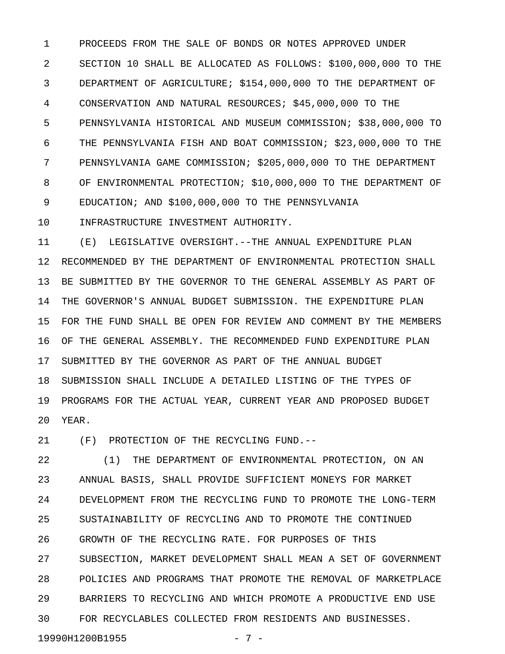1 PROCEEDS FROM THE SALE OF BONDS OR NOTES APPROVED UNDER 2 SECTION 10 SHALL BE ALLOCATED AS FOLLOWS: \$100,000,000 TO THE 3 DEPARTMENT OF AGRICULTURE; \$154,000,000 TO THE DEPARTMENT OF 4 CONSERVATION AND NATURAL RESOURCES; \$45,000,000 TO THE 5 PENNSYLVANIA HISTORICAL AND MUSEUM COMMISSION; \$38,000,000 TO 6 THE PENNSYLVANIA FISH AND BOAT COMMISSION; \$23,000,000 TO THE 7 PENNSYLVANIA GAME COMMISSION; \$205,000,000 TO THE DEPARTMENT 8 OF ENVIRONMENTAL PROTECTION; \$10,000,000 TO THE DEPARTMENT OF 9 EDUCATION; AND \$100,000,000 TO THE PENNSYLVANIA

10 INFRASTRUCTURE INVESTMENT AUTHORITY.

11 (E) LEGISLATIVE OVERSIGHT.--THE ANNUAL EXPENDITURE PLAN 12 RECOMMENDED BY THE DEPARTMENT OF ENVIRONMENTAL PROTECTION SHALL 13 BE SUBMITTED BY THE GOVERNOR TO THE GENERAL ASSEMBLY AS PART OF 14 THE GOVERNOR'S ANNUAL BUDGET SUBMISSION. THE EXPENDITURE PLAN 15 FOR THE FUND SHALL BE OPEN FOR REVIEW AND COMMENT BY THE MEMBERS 16 OF THE GENERAL ASSEMBLY. THE RECOMMENDED FUND EXPENDITURE PLAN 17 SUBMITTED BY THE GOVERNOR AS PART OF THE ANNUAL BUDGET 18 SUBMISSION SHALL INCLUDE A DETAILED LISTING OF THE TYPES OF 19 PROGRAMS FOR THE ACTUAL YEAR, CURRENT YEAR AND PROPOSED BUDGET 20 YEAR.

21 (F) PROTECTION OF THE RECYCLING FUND.--

22 (1) THE DEPARTMENT OF ENVIRONMENTAL PROTECTION, ON AN 23 ANNUAL BASIS, SHALL PROVIDE SUFFICIENT MONEYS FOR MARKET 24 DEVELOPMENT FROM THE RECYCLING FUND TO PROMOTE THE LONG-TERM 25 SUSTAINABILITY OF RECYCLING AND TO PROMOTE THE CONTINUED 26 GROWTH OF THE RECYCLING RATE. FOR PURPOSES OF THIS 27 SUBSECTION, MARKET DEVELOPMENT SHALL MEAN A SET OF GOVERNMENT 28 POLICIES AND PROGRAMS THAT PROMOTE THE REMOVAL OF MARKETPLACE 29 BARRIERS TO RECYCLING AND WHICH PROMOTE A PRODUCTIVE END USE 30 FOR RECYCLABLES COLLECTED FROM RESIDENTS AND BUSINESSES.

19990H1200B1955 - 7 -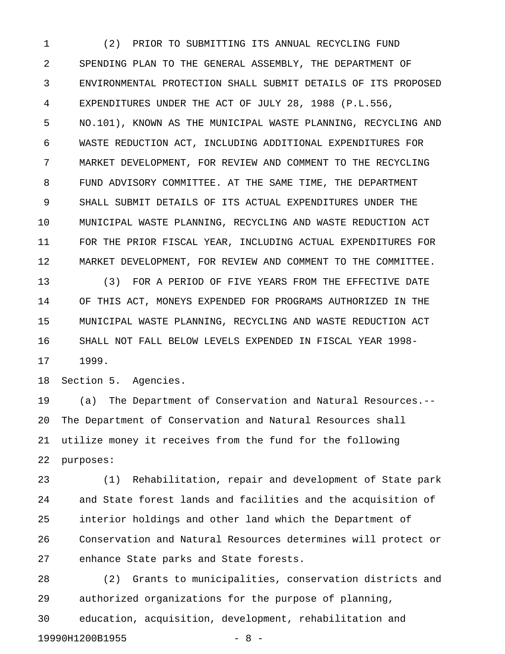1 (2) PRIOR TO SUBMITTING ITS ANNUAL RECYCLING FUND 2 SPENDING PLAN TO THE GENERAL ASSEMBLY, THE DEPARTMENT OF 3 ENVIRONMENTAL PROTECTION SHALL SUBMIT DETAILS OF ITS PROPOSED 4 EXPENDITURES UNDER THE ACT OF JULY 28, 1988 (P.L.556, 5 NO.101), KNOWN AS THE MUNICIPAL WASTE PLANNING, RECYCLING AND 6 WASTE REDUCTION ACT, INCLUDING ADDITIONAL EXPENDITURES FOR 7 MARKET DEVELOPMENT, FOR REVIEW AND COMMENT TO THE RECYCLING 8 FUND ADVISORY COMMITTEE. AT THE SAME TIME, THE DEPARTMENT 9 SHALL SUBMIT DETAILS OF ITS ACTUAL EXPENDITURES UNDER THE 10 MUNICIPAL WASTE PLANNING, RECYCLING AND WASTE REDUCTION ACT 11 FOR THE PRIOR FISCAL YEAR, INCLUDING ACTUAL EXPENDITURES FOR 12 MARKET DEVELOPMENT, FOR REVIEW AND COMMENT TO THE COMMITTEE.

13 (3) FOR A PERIOD OF FIVE YEARS FROM THE EFFECTIVE DATE 14 OF THIS ACT, MONEYS EXPENDED FOR PROGRAMS AUTHORIZED IN THE 15 MUNICIPAL WASTE PLANNING, RECYCLING AND WASTE REDUCTION ACT 16 SHALL NOT FALL BELOW LEVELS EXPENDED IN FISCAL YEAR 1998- 17 1999.

18 Section 5. Agencies.

19990H1200B1955 - 8 -

19 (a) The Department of Conservation and Natural Resources.-- 20 The Department of Conservation and Natural Resources shall 21 utilize money it receives from the fund for the following 22 purposes:

23 (1) Rehabilitation, repair and development of State park 24 and State forest lands and facilities and the acquisition of 25 interior holdings and other land which the Department of 26 Conservation and Natural Resources determines will protect or 27 enhance State parks and State forests.

28 (2) Grants to municipalities, conservation districts and 29 authorized organizations for the purpose of planning, 30 education, acquisition, development, rehabilitation and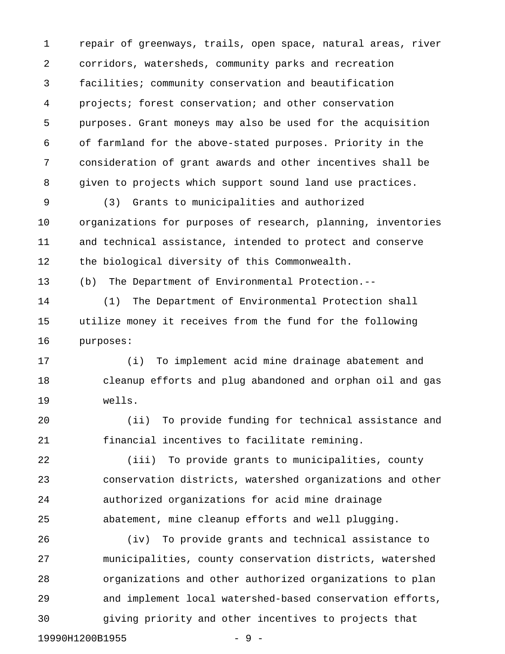1 repair of greenways, trails, open space, natural areas, river 2 corridors, watersheds, community parks and recreation 3 facilities; community conservation and beautification 4 projects; forest conservation; and other conservation 5 purposes. Grant moneys may also be used for the acquisition 6 of farmland for the above-stated purposes. Priority in the 7 consideration of grant awards and other incentives shall be 8 given to projects which support sound land use practices.

9 (3) Grants to municipalities and authorized 10 organizations for purposes of research, planning, inventories 11 and technical assistance, intended to protect and conserve 12 the biological diversity of this Commonwealth.

13 (b) The Department of Environmental Protection.--

14 (1) The Department of Environmental Protection shall 15 utilize money it receives from the fund for the following 16 purposes:

17 (i) To implement acid mine drainage abatement and 18 cleanup efforts and plug abandoned and orphan oil and gas 19 wells.

20 (ii) To provide funding for technical assistance and 21 financial incentives to facilitate remining.

22 (iii) To provide grants to municipalities, county 23 conservation districts, watershed organizations and other 24 authorized organizations for acid mine drainage 25 abatement, mine cleanup efforts and well plugging.

26 (iv) To provide grants and technical assistance to 27 municipalities, county conservation districts, watershed 28 organizations and other authorized organizations to plan 29 and implement local watershed-based conservation efforts, 30 giving priority and other incentives to projects that 19990H1200B1955 - 9 -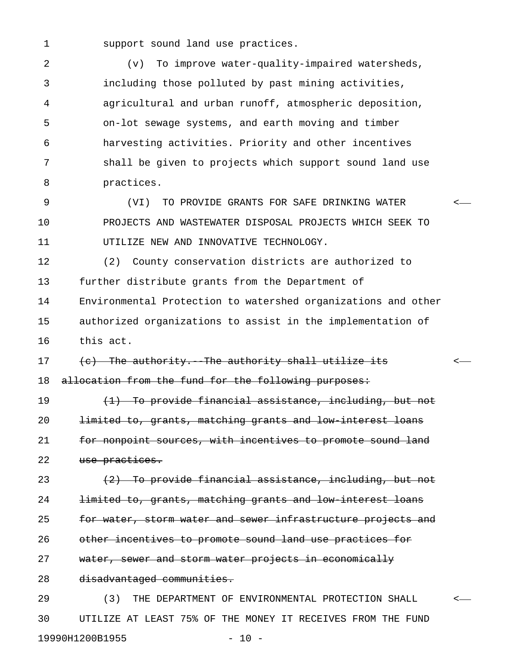1 support sound land use practices.

2 (v) To improve water-quality-impaired watersheds, 3 including those polluted by past mining activities, 4 agricultural and urban runoff, atmospheric deposition, 5 on-lot sewage systems, and earth moving and timber 6 harvesting activities. Priority and other incentives 7 shall be given to projects which support sound land use 8 practices.

9 (VI) TO PROVIDE GRANTS FOR SAFE DRINKING WATER < 10 PROJECTS AND WASTEWATER DISPOSAL PROJECTS WHICH SEEK TO 11 UTILIZE NEW AND INNOVATIVE TECHNOLOGY.

12 (2) County conservation districts are authorized to 13 further distribute grants from the Department of 14 Environmental Protection to watershed organizations and other 15 authorized organizations to assist in the implementation of 16 this act.

17 (c) The authority. The authority shall utilize its  $\leftarrow$ 18 allocation from the fund for the following purposes:

19 (1) To provide financial assistance, including, but not 20 limited to, grants, matching grants and low-interest loans 21 for nonpoint sources, with incentives to promote sound land 22 use practices.

23 (2) To provide financial assistance, including, but not 24 limited to, grants, matching grants and low-interest loans 25 for water, storm water and sewer infrastructure projects and 26 other incentives to promote sound land use practices for 27 water, sewer and storm water projects in economically 28 disadvantaged communities.

29 (3) THE DEPARTMENT OF ENVIRONMENTAL PROTECTION SHALL < 30 UTILIZE AT LEAST 75% OF THE MONEY IT RECEIVES FROM THE FUND 19990H1200B1955 - 10 -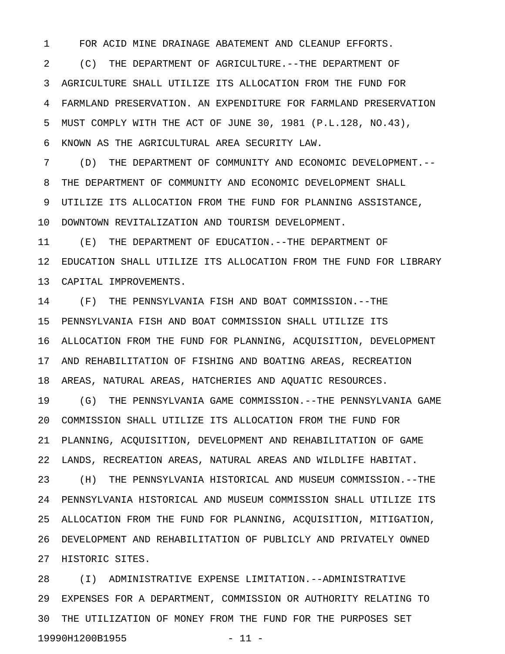1 FOR ACID MINE DRAINAGE ABATEMENT AND CLEANUP EFFORTS.

2 (C) THE DEPARTMENT OF AGRICULTURE.--THE DEPARTMENT OF 3 AGRICULTURE SHALL UTILIZE ITS ALLOCATION FROM THE FUND FOR 4 FARMLAND PRESERVATION. AN EXPENDITURE FOR FARMLAND PRESERVATION 5 MUST COMPLY WITH THE ACT OF JUNE 30, 1981 (P.L.128, NO.43), 6 KNOWN AS THE AGRICULTURAL AREA SECURITY LAW.

7 (D) THE DEPARTMENT OF COMMUNITY AND ECONOMIC DEVELOPMENT.-- 8 THE DEPARTMENT OF COMMUNITY AND ECONOMIC DEVELOPMENT SHALL 9 UTILIZE ITS ALLOCATION FROM THE FUND FOR PLANNING ASSISTANCE, 10 DOWNTOWN REVITALIZATION AND TOURISM DEVELOPMENT.

11 (E) THE DEPARTMENT OF EDUCATION.--THE DEPARTMENT OF 12 EDUCATION SHALL UTILIZE ITS ALLOCATION FROM THE FUND FOR LIBRARY 13 CAPITAL IMPROVEMENTS.

14 (F) THE PENNSYLVANIA FISH AND BOAT COMMISSION.--THE 15 PENNSYLVANIA FISH AND BOAT COMMISSION SHALL UTILIZE ITS 16 ALLOCATION FROM THE FUND FOR PLANNING, ACQUISITION, DEVELOPMENT 17 AND REHABILITATION OF FISHING AND BOATING AREAS, RECREATION 18 AREAS, NATURAL AREAS, HATCHERIES AND AQUATIC RESOURCES.

19 (G) THE PENNSYLVANIA GAME COMMISSION.--THE PENNSYLVANIA GAME 20 COMMISSION SHALL UTILIZE ITS ALLOCATION FROM THE FUND FOR 21 PLANNING, ACQUISITION, DEVELOPMENT AND REHABILITATION OF GAME 22 LANDS, RECREATION AREAS, NATURAL AREAS AND WILDLIFE HABITAT. 23 (H) THE PENNSYLVANIA HISTORICAL AND MUSEUM COMMISSION.--THE 24 PENNSYLVANIA HISTORICAL AND MUSEUM COMMISSION SHALL UTILIZE ITS 25 ALLOCATION FROM THE FUND FOR PLANNING, ACQUISITION, MITIGATION, 26 DEVELOPMENT AND REHABILITATION OF PUBLICLY AND PRIVATELY OWNED 27 HISTORIC SITES.

28 (I) ADMINISTRATIVE EXPENSE LIMITATION.--ADMINISTRATIVE 29 EXPENSES FOR A DEPARTMENT, COMMISSION OR AUTHORITY RELATING TO 30 THE UTILIZATION OF MONEY FROM THE FUND FOR THE PURPOSES SET 19990H1200B1955 - 11 -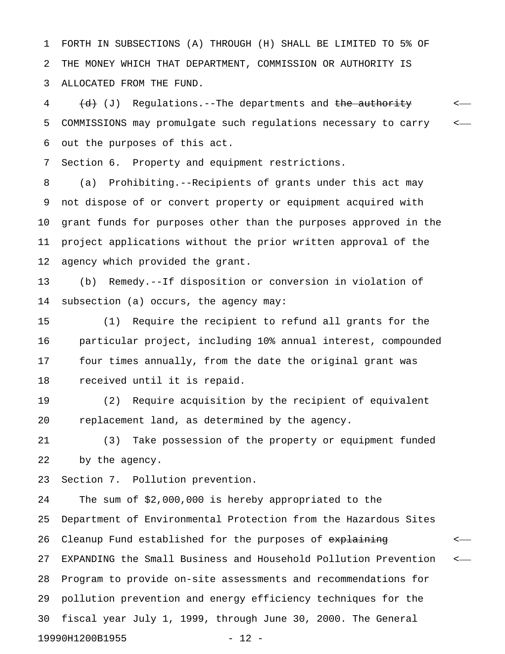1 FORTH IN SUBSECTIONS (A) THROUGH (H) SHALL BE LIMITED TO 5% OF 2 THE MONEY WHICH THAT DEPARTMENT, COMMISSION OR AUTHORITY IS 3 ALLOCATED FROM THE FUND.

4 (d) Regulations.--The departments and the authority  $\leftarrow$ 5 COMMISSIONS may promulgate such regulations necessary to carry < 6 out the purposes of this act.

7 Section 6. Property and equipment restrictions.

8 (a) Prohibiting.--Recipients of grants under this act may 9 not dispose of or convert property or equipment acquired with 10 grant funds for purposes other than the purposes approved in the 11 project applications without the prior written approval of the 12 agency which provided the grant.

13 (b) Remedy.--If disposition or conversion in violation of 14 subsection (a) occurs, the agency may:

15 (1) Require the recipient to refund all grants for the 16 particular project, including 10% annual interest, compounded 17 four times annually, from the date the original grant was 18 received until it is repaid.

19 (2) Require acquisition by the recipient of equivalent 20 replacement land, as determined by the agency.

21 (3) Take possession of the property or equipment funded 22 by the agency.

23 Section 7. Pollution prevention.

24 The sum of \$2,000,000 is hereby appropriated to the 25 Department of Environmental Protection from the Hazardous Sites 26 Cleanup Fund established for the purposes of explaining  $\sim$ 27 EXPANDING the Small Business and Household Pollution Prevention <-28 Program to provide on-site assessments and recommendations for 29 pollution prevention and energy efficiency techniques for the 30 fiscal year July 1, 1999, through June 30, 2000. The General 19990H1200B1955 - 12 -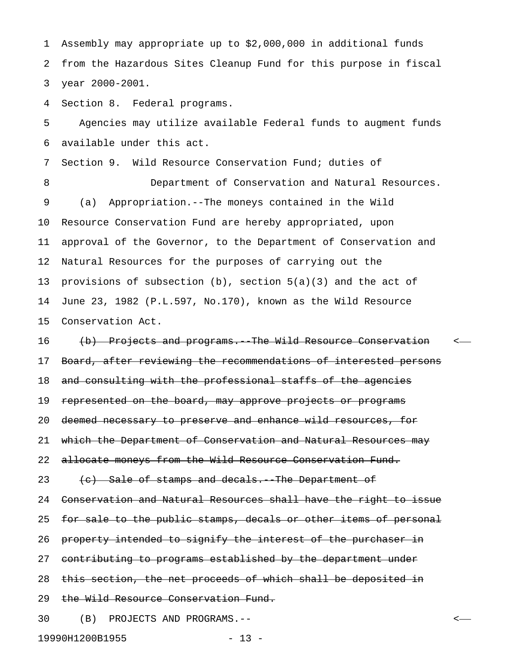1 Assembly may appropriate up to \$2,000,000 in additional funds 2 from the Hazardous Sites Cleanup Fund for this purpose in fiscal 3 year 2000-2001.

4 Section 8. Federal programs.

5 Agencies may utilize available Federal funds to augment funds 6 available under this act.

7 Section 9. Wild Resource Conservation Fund; duties of

8 Department of Conservation and Natural Resources. 9 (a) Appropriation.--The moneys contained in the Wild 10 Resource Conservation Fund are hereby appropriated, upon 11 approval of the Governor, to the Department of Conservation and 12 Natural Resources for the purposes of carrying out the 13 provisions of subsection (b), section 5(a)(3) and the act of 14 June 23, 1982 (P.L.597, No.170), known as the Wild Resource 15 Conservation Act.

16 (b) Projects and programs. The Wild Resource Conservation <-17 Board, after reviewing the recommendations of interested persons 18 and consulting with the professional staffs of the agencies 19 represented on the board, may approve projects or programs 20 deemed necessary to preserve and enhance wild resources, for 21 which the Department of Conservation and Natural Resources may 22 allocate moneys from the Wild Resource Conservation Fund. 23 (c) Sale of stamps and decals. The Department of 24 Conservation and Natural Resources shall have the right to issue 25 for sale to the public stamps, decals or other items of personal 26 property intended to signify the interest of the purchaser in 27 contributing to programs established by the department under 28 this section, the net proceeds of which shall be deposited in 29 the Wild Resource Conservation Fund. 30 (B) PROJECTS AND PROGRAMS.-- <

19990H1200B1955 - 13 -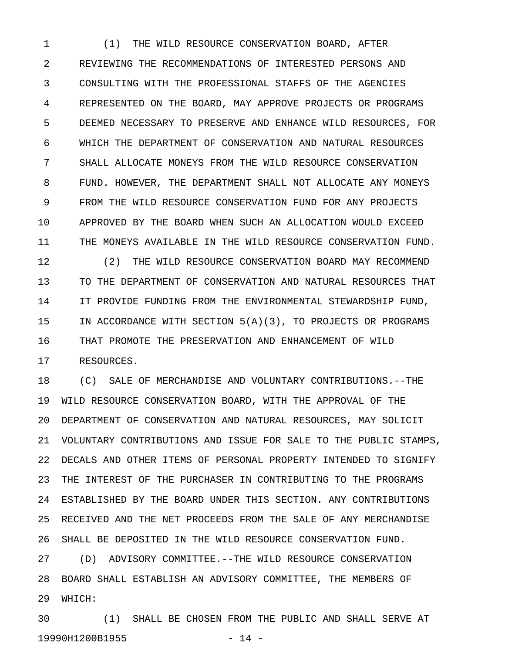1 (1) THE WILD RESOURCE CONSERVATION BOARD, AFTER 2 REVIEWING THE RECOMMENDATIONS OF INTERESTED PERSONS AND 3 CONSULTING WITH THE PROFESSIONAL STAFFS OF THE AGENCIES 4 REPRESENTED ON THE BOARD, MAY APPROVE PROJECTS OR PROGRAMS 5 DEEMED NECESSARY TO PRESERVE AND ENHANCE WILD RESOURCES, FOR 6 WHICH THE DEPARTMENT OF CONSERVATION AND NATURAL RESOURCES 7 SHALL ALLOCATE MONEYS FROM THE WILD RESOURCE CONSERVATION 8 FUND. HOWEVER, THE DEPARTMENT SHALL NOT ALLOCATE ANY MONEYS 9 FROM THE WILD RESOURCE CONSERVATION FUND FOR ANY PROJECTS 10 APPROVED BY THE BOARD WHEN SUCH AN ALLOCATION WOULD EXCEED 11 THE MONEYS AVAILABLE IN THE WILD RESOURCE CONSERVATION FUND.

12 (2) THE WILD RESOURCE CONSERVATION BOARD MAY RECOMMEND 13 TO THE DEPARTMENT OF CONSERVATION AND NATURAL RESOURCES THAT 14 IT PROVIDE FUNDING FROM THE ENVIRONMENTAL STEWARDSHIP FUND, 15 IN ACCORDANCE WITH SECTION 5(A)(3), TO PROJECTS OR PROGRAMS 16 THAT PROMOTE THE PRESERVATION AND ENHANCEMENT OF WILD 17 RESOURCES.

18 (C) SALE OF MERCHANDISE AND VOLUNTARY CONTRIBUTIONS.--THE 19 WILD RESOURCE CONSERVATION BOARD, WITH THE APPROVAL OF THE 20 DEPARTMENT OF CONSERVATION AND NATURAL RESOURCES, MAY SOLICIT 21 VOLUNTARY CONTRIBUTIONS AND ISSUE FOR SALE TO THE PUBLIC STAMPS, 22 DECALS AND OTHER ITEMS OF PERSONAL PROPERTY INTENDED TO SIGNIFY 23 THE INTEREST OF THE PURCHASER IN CONTRIBUTING TO THE PROGRAMS 24 ESTABLISHED BY THE BOARD UNDER THIS SECTION. ANY CONTRIBUTIONS 25 RECEIVED AND THE NET PROCEEDS FROM THE SALE OF ANY MERCHANDISE 26 SHALL BE DEPOSITED IN THE WILD RESOURCE CONSERVATION FUND.

27 (D) ADVISORY COMMITTEE.--THE WILD RESOURCE CONSERVATION 28 BOARD SHALL ESTABLISH AN ADVISORY COMMITTEE, THE MEMBERS OF 29 WHICH:

30 (1) SHALL BE CHOSEN FROM THE PUBLIC AND SHALL SERVE AT 19990H1200B1955 - 14 -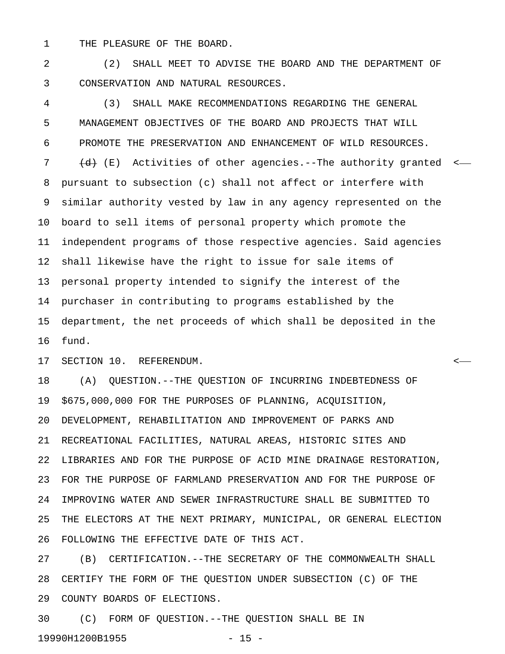1 THE PLEASURE OF THE BOARD.

2 (2) SHALL MEET TO ADVISE THE BOARD AND THE DEPARTMENT OF 3 CONSERVATION AND NATURAL RESOURCES.

4 (3) SHALL MAKE RECOMMENDATIONS REGARDING THE GENERAL 5 MANAGEMENT OBJECTIVES OF THE BOARD AND PROJECTS THAT WILL 6 PROMOTE THE PRESERVATION AND ENHANCEMENT OF WILD RESOURCES. 7  $\left(\frac{d}{dt}\right)$  (E) Activities of other agencies.--The authority granted <-8 pursuant to subsection (c) shall not affect or interfere with 9 similar authority vested by law in any agency represented on the 10 board to sell items of personal property which promote the 11 independent programs of those respective agencies. Said agencies 12 shall likewise have the right to issue for sale items of 13 personal property intended to signify the interest of the 14 purchaser in contributing to programs established by the 15 department, the net proceeds of which shall be deposited in the 16 fund.

17 SECTION 10. REFERENDUM. <

18 (A) QUESTION.--THE QUESTION OF INCURRING INDEBTEDNESS OF 19 \$675,000,000 FOR THE PURPOSES OF PLANNING, ACQUISITION, 20 DEVELOPMENT, REHABILITATION AND IMPROVEMENT OF PARKS AND 21 RECREATIONAL FACILITIES, NATURAL AREAS, HISTORIC SITES AND 22 LIBRARIES AND FOR THE PURPOSE OF ACID MINE DRAINAGE RESTORATION, 23 FOR THE PURPOSE OF FARMLAND PRESERVATION AND FOR THE PURPOSE OF 24 IMPROVING WATER AND SEWER INFRASTRUCTURE SHALL BE SUBMITTED TO 25 THE ELECTORS AT THE NEXT PRIMARY, MUNICIPAL, OR GENERAL ELECTION 26 FOLLOWING THE EFFECTIVE DATE OF THIS ACT.

27 (B) CERTIFICATION.--THE SECRETARY OF THE COMMONWEALTH SHALL 28 CERTIFY THE FORM OF THE QUESTION UNDER SUBSECTION (C) OF THE 29 COUNTY BOARDS OF ELECTIONS.

30 (C) FORM OF QUESTION.--THE QUESTION SHALL BE IN 19990H1200B1955 - 15 -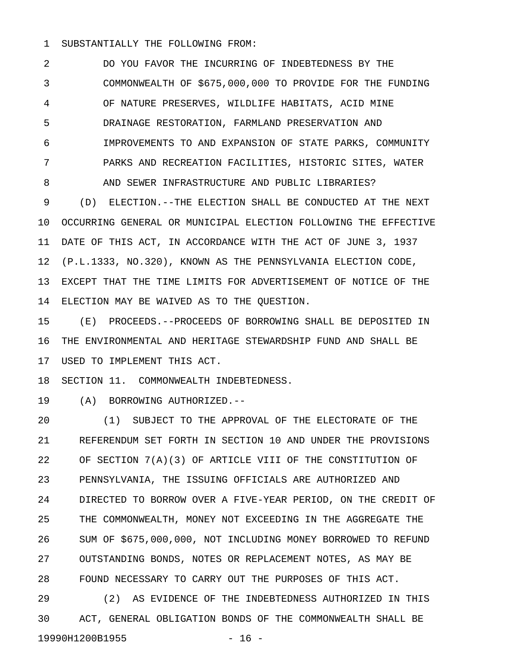#### 1 SUBSTANTIALLY THE FOLLOWING FROM:

2 DO YOU FAVOR THE INCURRING OF INDEBTEDNESS BY THE 3 COMMONWEALTH OF \$675,000,000 TO PROVIDE FOR THE FUNDING 4 OF NATURE PRESERVES, WILDLIFE HABITATS, ACID MINE 5 DRAINAGE RESTORATION, FARMLAND PRESERVATION AND 6 IMPROVEMENTS TO AND EXPANSION OF STATE PARKS, COMMUNITY 7 PARKS AND RECREATION FACILITIES, HISTORIC SITES, WATER 8 AND SEWER INFRASTRUCTURE AND PUBLIC LIBRARIES?

9 (D) ELECTION.--THE ELECTION SHALL BE CONDUCTED AT THE NEXT 10 OCCURRING GENERAL OR MUNICIPAL ELECTION FOLLOWING THE EFFECTIVE 11 DATE OF THIS ACT, IN ACCORDANCE WITH THE ACT OF JUNE 3, 1937 12 (P.L.1333, NO.320), KNOWN AS THE PENNSYLVANIA ELECTION CODE, 13 EXCEPT THAT THE TIME LIMITS FOR ADVERTISEMENT OF NOTICE OF THE 14 ELECTION MAY BE WAIVED AS TO THE QUESTION.

15 (E) PROCEEDS.--PROCEEDS OF BORROWING SHALL BE DEPOSITED IN 16 THE ENVIRONMENTAL AND HERITAGE STEWARDSHIP FUND AND SHALL BE 17 USED TO IMPLEMENT THIS ACT.

18 SECTION 11. COMMONWEALTH INDEBTEDNESS.

19 (A) BORROWING AUTHORIZED.--

20 (1) SUBJECT TO THE APPROVAL OF THE ELECTORATE OF THE 21 REFERENDUM SET FORTH IN SECTION 10 AND UNDER THE PROVISIONS 22 OF SECTION 7(A)(3) OF ARTICLE VIII OF THE CONSTITUTION OF 23 PENNSYLVANIA, THE ISSUING OFFICIALS ARE AUTHORIZED AND 24 DIRECTED TO BORROW OVER A FIVE-YEAR PERIOD, ON THE CREDIT OF 25 THE COMMONWEALTH, MONEY NOT EXCEEDING IN THE AGGREGATE THE 26 SUM OF \$675,000,000, NOT INCLUDING MONEY BORROWED TO REFUND 27 OUTSTANDING BONDS, NOTES OR REPLACEMENT NOTES, AS MAY BE 28 FOUND NECESSARY TO CARRY OUT THE PURPOSES OF THIS ACT.

29 (2) AS EVIDENCE OF THE INDEBTEDNESS AUTHORIZED IN THIS 30 ACT, GENERAL OBLIGATION BONDS OF THE COMMONWEALTH SHALL BE 19990H1200B1955 - 16 -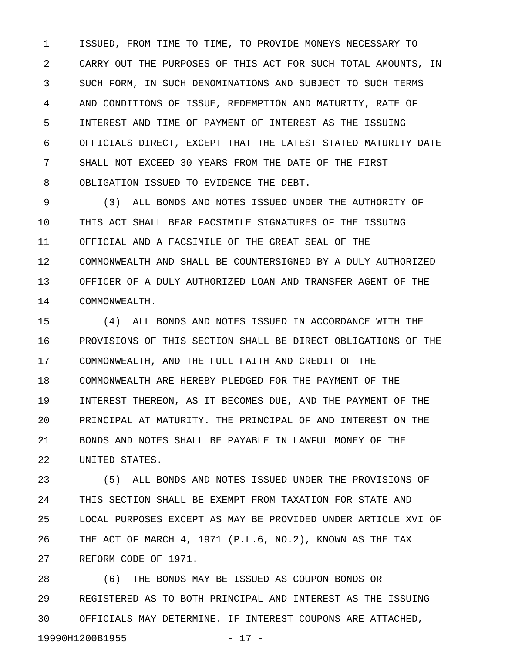1 ISSUED, FROM TIME TO TIME, TO PROVIDE MONEYS NECESSARY TO 2 CARRY OUT THE PURPOSES OF THIS ACT FOR SUCH TOTAL AMOUNTS, IN 3 SUCH FORM, IN SUCH DENOMINATIONS AND SUBJECT TO SUCH TERMS 4 AND CONDITIONS OF ISSUE, REDEMPTION AND MATURITY, RATE OF 5 INTEREST AND TIME OF PAYMENT OF INTEREST AS THE ISSUING 6 OFFICIALS DIRECT, EXCEPT THAT THE LATEST STATED MATURITY DATE 7 SHALL NOT EXCEED 30 YEARS FROM THE DATE OF THE FIRST 8 OBLIGATION ISSUED TO EVIDENCE THE DEBT.

9 (3) ALL BONDS AND NOTES ISSUED UNDER THE AUTHORITY OF 10 THIS ACT SHALL BEAR FACSIMILE SIGNATURES OF THE ISSUING 11 OFFICIAL AND A FACSIMILE OF THE GREAT SEAL OF THE 12 COMMONWEALTH AND SHALL BE COUNTERSIGNED BY A DULY AUTHORIZED 13 OFFICER OF A DULY AUTHORIZED LOAN AND TRANSFER AGENT OF THE 14 COMMONWEALTH.

15 (4) ALL BONDS AND NOTES ISSUED IN ACCORDANCE WITH THE 16 PROVISIONS OF THIS SECTION SHALL BE DIRECT OBLIGATIONS OF THE 17 COMMONWEALTH, AND THE FULL FAITH AND CREDIT OF THE 18 COMMONWEALTH ARE HEREBY PLEDGED FOR THE PAYMENT OF THE 19 INTEREST THEREON, AS IT BECOMES DUE, AND THE PAYMENT OF THE 20 PRINCIPAL AT MATURITY. THE PRINCIPAL OF AND INTEREST ON THE 21 BONDS AND NOTES SHALL BE PAYABLE IN LAWFUL MONEY OF THE 22 UNITED STATES.

23 (5) ALL BONDS AND NOTES ISSUED UNDER THE PROVISIONS OF 24 THIS SECTION SHALL BE EXEMPT FROM TAXATION FOR STATE AND 25 LOCAL PURPOSES EXCEPT AS MAY BE PROVIDED UNDER ARTICLE XVI OF 26 THE ACT OF MARCH 4, 1971 (P.L.6, NO.2), KNOWN AS THE TAX 27 REFORM CODE OF 1971.

28 (6) THE BONDS MAY BE ISSUED AS COUPON BONDS OR 29 REGISTERED AS TO BOTH PRINCIPAL AND INTEREST AS THE ISSUING 30 OFFICIALS MAY DETERMINE. IF INTEREST COUPONS ARE ATTACHED, 19990H1200B1955 - 17 -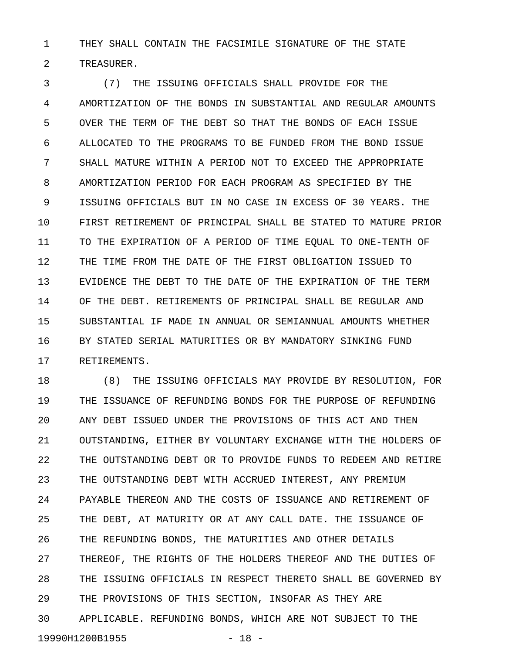1 THEY SHALL CONTAIN THE FACSIMILE SIGNATURE OF THE STATE 2 TREASURER.

3 (7) THE ISSUING OFFICIALS SHALL PROVIDE FOR THE 4 AMORTIZATION OF THE BONDS IN SUBSTANTIAL AND REGULAR AMOUNTS 5 OVER THE TERM OF THE DEBT SO THAT THE BONDS OF EACH ISSUE 6 ALLOCATED TO THE PROGRAMS TO BE FUNDED FROM THE BOND ISSUE 7 SHALL MATURE WITHIN A PERIOD NOT TO EXCEED THE APPROPRIATE 8 AMORTIZATION PERIOD FOR EACH PROGRAM AS SPECIFIED BY THE 9 ISSUING OFFICIALS BUT IN NO CASE IN EXCESS OF 30 YEARS. THE 10 FIRST RETIREMENT OF PRINCIPAL SHALL BE STATED TO MATURE PRIOR 11 TO THE EXPIRATION OF A PERIOD OF TIME EQUAL TO ONE-TENTH OF 12 THE TIME FROM THE DATE OF THE FIRST OBLIGATION ISSUED TO 13 EVIDENCE THE DEBT TO THE DATE OF THE EXPIRATION OF THE TERM 14 OF THE DEBT. RETIREMENTS OF PRINCIPAL SHALL BE REGULAR AND 15 SUBSTANTIAL IF MADE IN ANNUAL OR SEMIANNUAL AMOUNTS WHETHER 16 BY STATED SERIAL MATURITIES OR BY MANDATORY SINKING FUND 17 RETIREMENTS.

18 (8) THE ISSUING OFFICIALS MAY PROVIDE BY RESOLUTION, FOR 19 THE ISSUANCE OF REFUNDING BONDS FOR THE PURPOSE OF REFUNDING 20 ANY DEBT ISSUED UNDER THE PROVISIONS OF THIS ACT AND THEN 21 OUTSTANDING, EITHER BY VOLUNTARY EXCHANGE WITH THE HOLDERS OF 22 THE OUTSTANDING DEBT OR TO PROVIDE FUNDS TO REDEEM AND RETIRE 23 THE OUTSTANDING DEBT WITH ACCRUED INTEREST, ANY PREMIUM 24 PAYABLE THEREON AND THE COSTS OF ISSUANCE AND RETIREMENT OF 25 THE DEBT, AT MATURITY OR AT ANY CALL DATE. THE ISSUANCE OF 26 THE REFUNDING BONDS, THE MATURITIES AND OTHER DETAILS 27 THEREOF, THE RIGHTS OF THE HOLDERS THEREOF AND THE DUTIES OF 28 THE ISSUING OFFICIALS IN RESPECT THERETO SHALL BE GOVERNED BY 29 THE PROVISIONS OF THIS SECTION, INSOFAR AS THEY ARE 30 APPLICABLE. REFUNDING BONDS, WHICH ARE NOT SUBJECT TO THE 19990H1200B1955 - 18 -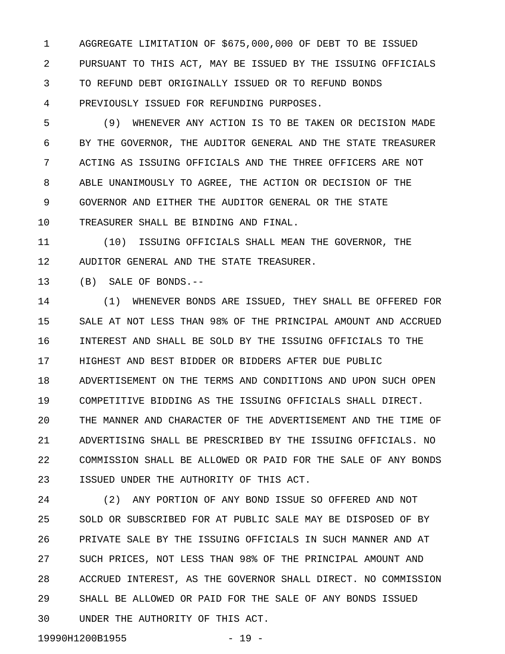1 AGGREGATE LIMITATION OF \$675,000,000 OF DEBT TO BE ISSUED 2 PURSUANT TO THIS ACT, MAY BE ISSUED BY THE ISSUING OFFICIALS 3 TO REFUND DEBT ORIGINALLY ISSUED OR TO REFUND BONDS 4 PREVIOUSLY ISSUED FOR REFUNDING PURPOSES.

5 (9) WHENEVER ANY ACTION IS TO BE TAKEN OR DECISION MADE 6 BY THE GOVERNOR, THE AUDITOR GENERAL AND THE STATE TREASURER 7 ACTING AS ISSUING OFFICIALS AND THE THREE OFFICERS ARE NOT 8 ABLE UNANIMOUSLY TO AGREE, THE ACTION OR DECISION OF THE 9 GOVERNOR AND EITHER THE AUDITOR GENERAL OR THE STATE 10 TREASURER SHALL BE BINDING AND FINAL.

11 (10) ISSUING OFFICIALS SHALL MEAN THE GOVERNOR, THE 12 AUDITOR GENERAL AND THE STATE TREASURER.

13 (B) SALE OF BONDS.--

14 (1) WHENEVER BONDS ARE ISSUED, THEY SHALL BE OFFERED FOR 15 SALE AT NOT LESS THAN 98% OF THE PRINCIPAL AMOUNT AND ACCRUED 16 INTEREST AND SHALL BE SOLD BY THE ISSUING OFFICIALS TO THE 17 HIGHEST AND BEST BIDDER OR BIDDERS AFTER DUE PUBLIC 18 ADVERTISEMENT ON THE TERMS AND CONDITIONS AND UPON SUCH OPEN 19 COMPETITIVE BIDDING AS THE ISSUING OFFICIALS SHALL DIRECT. 20 THE MANNER AND CHARACTER OF THE ADVERTISEMENT AND THE TIME OF 21 ADVERTISING SHALL BE PRESCRIBED BY THE ISSUING OFFICIALS. NO 22 COMMISSION SHALL BE ALLOWED OR PAID FOR THE SALE OF ANY BONDS 23 ISSUED UNDER THE AUTHORITY OF THIS ACT.

24 (2) ANY PORTION OF ANY BOND ISSUE SO OFFERED AND NOT 25 SOLD OR SUBSCRIBED FOR AT PUBLIC SALE MAY BE DISPOSED OF BY 26 PRIVATE SALE BY THE ISSUING OFFICIALS IN SUCH MANNER AND AT 27 SUCH PRICES, NOT LESS THAN 98% OF THE PRINCIPAL AMOUNT AND 28 ACCRUED INTEREST, AS THE GOVERNOR SHALL DIRECT. NO COMMISSION 29 SHALL BE ALLOWED OR PAID FOR THE SALE OF ANY BONDS ISSUED 30 UNDER THE AUTHORITY OF THIS ACT.

19990H1200B1955 - 19 -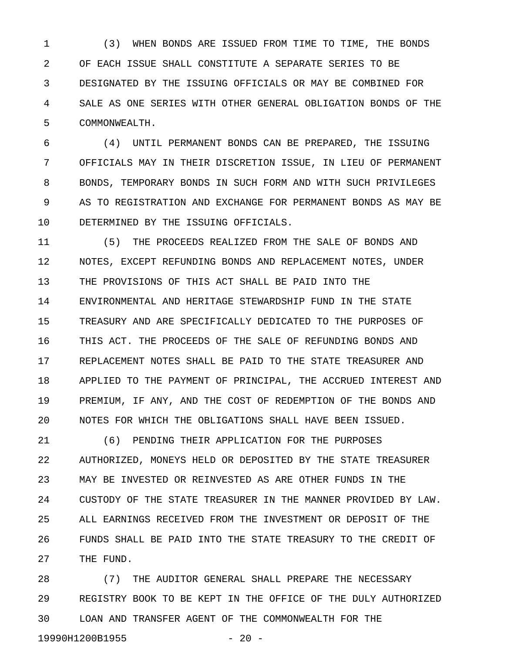1 (3) WHEN BONDS ARE ISSUED FROM TIME TO TIME, THE BONDS 2 OF EACH ISSUE SHALL CONSTITUTE A SEPARATE SERIES TO BE 3 DESIGNATED BY THE ISSUING OFFICIALS OR MAY BE COMBINED FOR 4 SALE AS ONE SERIES WITH OTHER GENERAL OBLIGATION BONDS OF THE 5 COMMONWEALTH.

6 (4) UNTIL PERMANENT BONDS CAN BE PREPARED, THE ISSUING 7 OFFICIALS MAY IN THEIR DISCRETION ISSUE, IN LIEU OF PERMANENT 8 BONDS, TEMPORARY BONDS IN SUCH FORM AND WITH SUCH PRIVILEGES 9 AS TO REGISTRATION AND EXCHANGE FOR PERMANENT BONDS AS MAY BE 10 DETERMINED BY THE ISSUING OFFICIALS.

11 (5) THE PROCEEDS REALIZED FROM THE SALE OF BONDS AND 12 NOTES, EXCEPT REFUNDING BONDS AND REPLACEMENT NOTES, UNDER 13 THE PROVISIONS OF THIS ACT SHALL BE PAID INTO THE 14 ENVIRONMENTAL AND HERITAGE STEWARDSHIP FUND IN THE STATE 15 TREASURY AND ARE SPECIFICALLY DEDICATED TO THE PURPOSES OF 16 THIS ACT. THE PROCEEDS OF THE SALE OF REFUNDING BONDS AND 17 REPLACEMENT NOTES SHALL BE PAID TO THE STATE TREASURER AND 18 APPLIED TO THE PAYMENT OF PRINCIPAL, THE ACCRUED INTEREST AND 19 PREMIUM, IF ANY, AND THE COST OF REDEMPTION OF THE BONDS AND 20 NOTES FOR WHICH THE OBLIGATIONS SHALL HAVE BEEN ISSUED.

21 (6) PENDING THEIR APPLICATION FOR THE PURPOSES 22 AUTHORIZED, MONEYS HELD OR DEPOSITED BY THE STATE TREASURER 23 MAY BE INVESTED OR REINVESTED AS ARE OTHER FUNDS IN THE 24 CUSTODY OF THE STATE TREASURER IN THE MANNER PROVIDED BY LAW. 25 ALL EARNINGS RECEIVED FROM THE INVESTMENT OR DEPOSIT OF THE 26 FUNDS SHALL BE PAID INTO THE STATE TREASURY TO THE CREDIT OF 27 THE FUND.

28 (7) THE AUDITOR GENERAL SHALL PREPARE THE NECESSARY 29 REGISTRY BOOK TO BE KEPT IN THE OFFICE OF THE DULY AUTHORIZED 30 LOAN AND TRANSFER AGENT OF THE COMMONWEALTH FOR THE 19990H1200B1955 - 20 -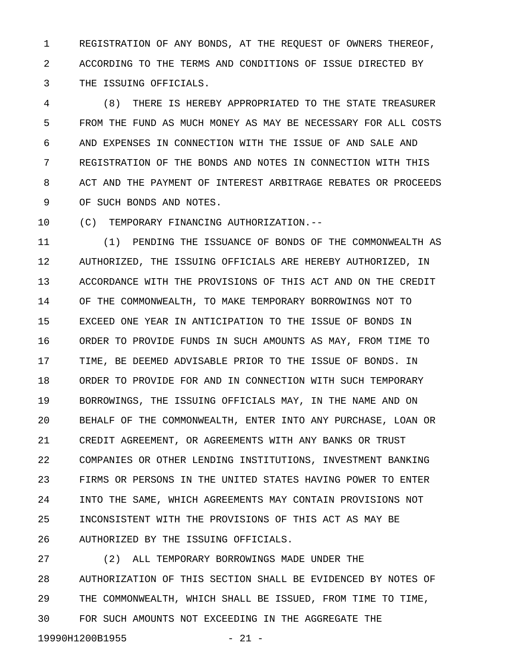1 REGISTRATION OF ANY BONDS, AT THE REQUEST OF OWNERS THEREOF, 2 ACCORDING TO THE TERMS AND CONDITIONS OF ISSUE DIRECTED BY 3 THE ISSUING OFFICIALS.

4 (8) THERE IS HEREBY APPROPRIATED TO THE STATE TREASURER 5 FROM THE FUND AS MUCH MONEY AS MAY BE NECESSARY FOR ALL COSTS 6 AND EXPENSES IN CONNECTION WITH THE ISSUE OF AND SALE AND 7 REGISTRATION OF THE BONDS AND NOTES IN CONNECTION WITH THIS 8 ACT AND THE PAYMENT OF INTEREST ARBITRAGE REBATES OR PROCEEDS 9 OF SUCH BONDS AND NOTES.

10 (C) TEMPORARY FINANCING AUTHORIZATION.--

11 (1) PENDING THE ISSUANCE OF BONDS OF THE COMMONWEALTH AS 12 AUTHORIZED, THE ISSUING OFFICIALS ARE HEREBY AUTHORIZED, IN 13 ACCORDANCE WITH THE PROVISIONS OF THIS ACT AND ON THE CREDIT 14 OF THE COMMONWEALTH, TO MAKE TEMPORARY BORROWINGS NOT TO 15 EXCEED ONE YEAR IN ANTICIPATION TO THE ISSUE OF BONDS IN 16 ORDER TO PROVIDE FUNDS IN SUCH AMOUNTS AS MAY, FROM TIME TO 17 TIME, BE DEEMED ADVISABLE PRIOR TO THE ISSUE OF BONDS. IN 18 ORDER TO PROVIDE FOR AND IN CONNECTION WITH SUCH TEMPORARY 19 BORROWINGS, THE ISSUING OFFICIALS MAY, IN THE NAME AND ON 20 BEHALF OF THE COMMONWEALTH, ENTER INTO ANY PURCHASE, LOAN OR 21 CREDIT AGREEMENT, OR AGREEMENTS WITH ANY BANKS OR TRUST 22 COMPANIES OR OTHER LENDING INSTITUTIONS, INVESTMENT BANKING 23 FIRMS OR PERSONS IN THE UNITED STATES HAVING POWER TO ENTER 24 INTO THE SAME, WHICH AGREEMENTS MAY CONTAIN PROVISIONS NOT 25 INCONSISTENT WITH THE PROVISIONS OF THIS ACT AS MAY BE 26 AUTHORIZED BY THE ISSUING OFFICIALS.

27 (2) ALL TEMPORARY BORROWINGS MADE UNDER THE 28 AUTHORIZATION OF THIS SECTION SHALL BE EVIDENCED BY NOTES OF 29 THE COMMONWEALTH, WHICH SHALL BE ISSUED, FROM TIME TO TIME, 30 FOR SUCH AMOUNTS NOT EXCEEDING IN THE AGGREGATE THE 19990H1200B1955 - 21 -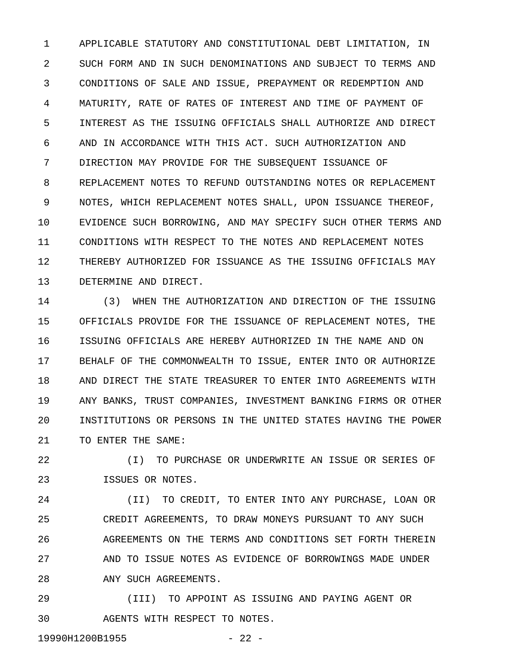1 APPLICABLE STATUTORY AND CONSTITUTIONAL DEBT LIMITATION, IN 2 SUCH FORM AND IN SUCH DENOMINATIONS AND SUBJECT TO TERMS AND 3 CONDITIONS OF SALE AND ISSUE, PREPAYMENT OR REDEMPTION AND 4 MATURITY, RATE OF RATES OF INTEREST AND TIME OF PAYMENT OF 5 INTEREST AS THE ISSUING OFFICIALS SHALL AUTHORIZE AND DIRECT 6 AND IN ACCORDANCE WITH THIS ACT. SUCH AUTHORIZATION AND 7 DIRECTION MAY PROVIDE FOR THE SUBSEQUENT ISSUANCE OF 8 REPLACEMENT NOTES TO REFUND OUTSTANDING NOTES OR REPLACEMENT 9 NOTES, WHICH REPLACEMENT NOTES SHALL, UPON ISSUANCE THEREOF, 10 EVIDENCE SUCH BORROWING, AND MAY SPECIFY SUCH OTHER TERMS AND 11 CONDITIONS WITH RESPECT TO THE NOTES AND REPLACEMENT NOTES 12 THEREBY AUTHORIZED FOR ISSUANCE AS THE ISSUING OFFICIALS MAY 13 DETERMINE AND DIRECT.

14 (3) WHEN THE AUTHORIZATION AND DIRECTION OF THE ISSUING 15 OFFICIALS PROVIDE FOR THE ISSUANCE OF REPLACEMENT NOTES, THE 16 ISSUING OFFICIALS ARE HEREBY AUTHORIZED IN THE NAME AND ON 17 BEHALF OF THE COMMONWEALTH TO ISSUE, ENTER INTO OR AUTHORIZE 18 AND DIRECT THE STATE TREASURER TO ENTER INTO AGREEMENTS WITH 19 ANY BANKS, TRUST COMPANIES, INVESTMENT BANKING FIRMS OR OTHER 20 INSTITUTIONS OR PERSONS IN THE UNITED STATES HAVING THE POWER 21 TO ENTER THE SAME:

22 (I) TO PURCHASE OR UNDERWRITE AN ISSUE OR SERIES OF 23 ISSUES OR NOTES.

24 (II) TO CREDIT, TO ENTER INTO ANY PURCHASE, LOAN OR 25 CREDIT AGREEMENTS, TO DRAW MONEYS PURSUANT TO ANY SUCH 26 AGREEMENTS ON THE TERMS AND CONDITIONS SET FORTH THEREIN 27 AND TO ISSUE NOTES AS EVIDENCE OF BORROWINGS MADE UNDER 28 ANY SUCH AGREEMENTS.

29 (III) TO APPOINT AS ISSUING AND PAYING AGENT OR 30 AGENTS WITH RESPECT TO NOTES.

19990H1200B1955 - 22 -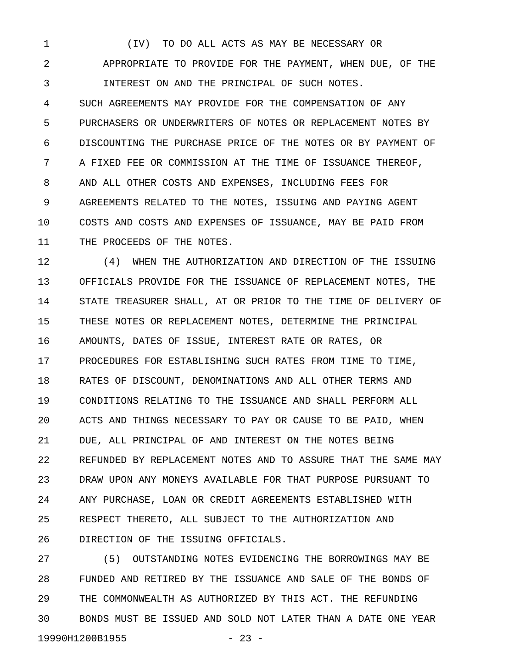1 (IV) TO DO ALL ACTS AS MAY BE NECESSARY OR 2 APPROPRIATE TO PROVIDE FOR THE PAYMENT, WHEN DUE, OF THE 3 INTEREST ON AND THE PRINCIPAL OF SUCH NOTES. 4 SUCH AGREEMENTS MAY PROVIDE FOR THE COMPENSATION OF ANY 5 PURCHASERS OR UNDERWRITERS OF NOTES OR REPLACEMENT NOTES BY 6 DISCOUNTING THE PURCHASE PRICE OF THE NOTES OR BY PAYMENT OF 7 A FIXED FEE OR COMMISSION AT THE TIME OF ISSUANCE THEREOF, 8 AND ALL OTHER COSTS AND EXPENSES, INCLUDING FEES FOR 9 AGREEMENTS RELATED TO THE NOTES, ISSUING AND PAYING AGENT 10 COSTS AND COSTS AND EXPENSES OF ISSUANCE, MAY BE PAID FROM 11 THE PROCEEDS OF THE NOTES.

12 (4) WHEN THE AUTHORIZATION AND DIRECTION OF THE ISSUING 13 OFFICIALS PROVIDE FOR THE ISSUANCE OF REPLACEMENT NOTES, THE 14 STATE TREASURER SHALL, AT OR PRIOR TO THE TIME OF DELIVERY OF 15 THESE NOTES OR REPLACEMENT NOTES, DETERMINE THE PRINCIPAL 16 AMOUNTS, DATES OF ISSUE, INTEREST RATE OR RATES, OR 17 PROCEDURES FOR ESTABLISHING SUCH RATES FROM TIME TO TIME, 18 RATES OF DISCOUNT, DENOMINATIONS AND ALL OTHER TERMS AND 19 CONDITIONS RELATING TO THE ISSUANCE AND SHALL PERFORM ALL 20 ACTS AND THINGS NECESSARY TO PAY OR CAUSE TO BE PAID, WHEN 21 DUE, ALL PRINCIPAL OF AND INTEREST ON THE NOTES BEING 22 REFUNDED BY REPLACEMENT NOTES AND TO ASSURE THAT THE SAME MAY 23 DRAW UPON ANY MONEYS AVAILABLE FOR THAT PURPOSE PURSUANT TO 24 ANY PURCHASE, LOAN OR CREDIT AGREEMENTS ESTABLISHED WITH 25 RESPECT THERETO, ALL SUBJECT TO THE AUTHORIZATION AND 26 DIRECTION OF THE ISSUING OFFICIALS.

27 (5) OUTSTANDING NOTES EVIDENCING THE BORROWINGS MAY BE 28 FUNDED AND RETIRED BY THE ISSUANCE AND SALE OF THE BONDS OF 29 THE COMMONWEALTH AS AUTHORIZED BY THIS ACT. THE REFUNDING 30 BONDS MUST BE ISSUED AND SOLD NOT LATER THAN A DATE ONE YEAR 19990H1200B1955 - 23 -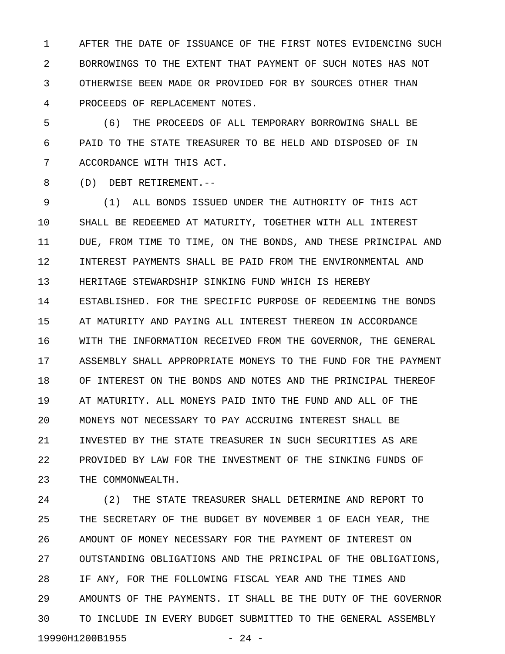1 AFTER THE DATE OF ISSUANCE OF THE FIRST NOTES EVIDENCING SUCH 2 BORROWINGS TO THE EXTENT THAT PAYMENT OF SUCH NOTES HAS NOT 3 OTHERWISE BEEN MADE OR PROVIDED FOR BY SOURCES OTHER THAN 4 PROCEEDS OF REPLACEMENT NOTES.

5 (6) THE PROCEEDS OF ALL TEMPORARY BORROWING SHALL BE 6 PAID TO THE STATE TREASURER TO BE HELD AND DISPOSED OF IN 7 ACCORDANCE WITH THIS ACT.

8 (D) DEBT RETIREMENT.--

9 (1) ALL BONDS ISSUED UNDER THE AUTHORITY OF THIS ACT 10 SHALL BE REDEEMED AT MATURITY, TOGETHER WITH ALL INTEREST 11 DUE, FROM TIME TO TIME, ON THE BONDS, AND THESE PRINCIPAL AND 12 INTEREST PAYMENTS SHALL BE PAID FROM THE ENVIRONMENTAL AND 13 HERITAGE STEWARDSHIP SINKING FUND WHICH IS HEREBY 14 ESTABLISHED. FOR THE SPECIFIC PURPOSE OF REDEEMING THE BONDS 15 AT MATURITY AND PAYING ALL INTEREST THEREON IN ACCORDANCE 16 WITH THE INFORMATION RECEIVED FROM THE GOVERNOR, THE GENERAL 17 ASSEMBLY SHALL APPROPRIATE MONEYS TO THE FUND FOR THE PAYMENT 18 OF INTEREST ON THE BONDS AND NOTES AND THE PRINCIPAL THEREOF 19 AT MATURITY. ALL MONEYS PAID INTO THE FUND AND ALL OF THE 20 MONEYS NOT NECESSARY TO PAY ACCRUING INTEREST SHALL BE 21 INVESTED BY THE STATE TREASURER IN SUCH SECURITIES AS ARE 22 PROVIDED BY LAW FOR THE INVESTMENT OF THE SINKING FUNDS OF 23 THE COMMONWEALTH.

24 (2) THE STATE TREASURER SHALL DETERMINE AND REPORT TO 25 THE SECRETARY OF THE BUDGET BY NOVEMBER 1 OF EACH YEAR, THE 26 AMOUNT OF MONEY NECESSARY FOR THE PAYMENT OF INTEREST ON 27 OUTSTANDING OBLIGATIONS AND THE PRINCIPAL OF THE OBLIGATIONS, 28 IF ANY, FOR THE FOLLOWING FISCAL YEAR AND THE TIMES AND 29 AMOUNTS OF THE PAYMENTS. IT SHALL BE THE DUTY OF THE GOVERNOR 30 TO INCLUDE IN EVERY BUDGET SUBMITTED TO THE GENERAL ASSEMBLY 19990H1200B1955 - 24 -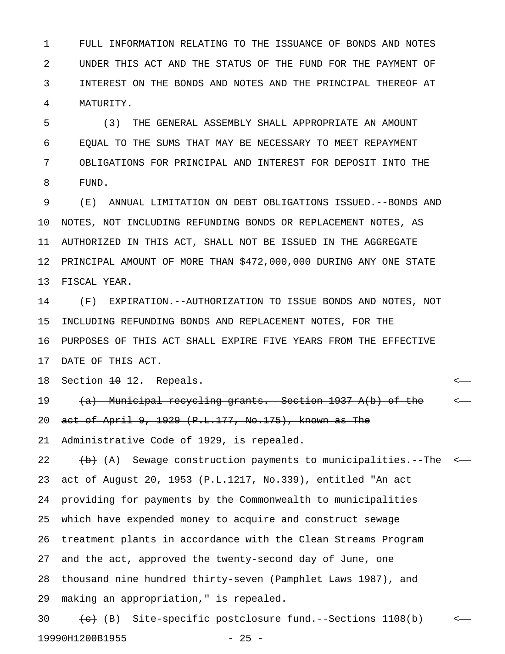1 FULL INFORMATION RELATING TO THE ISSUANCE OF BONDS AND NOTES 2 UNDER THIS ACT AND THE STATUS OF THE FUND FOR THE PAYMENT OF 3 INTEREST ON THE BONDS AND NOTES AND THE PRINCIPAL THEREOF AT 4 MATURITY.

5 (3) THE GENERAL ASSEMBLY SHALL APPROPRIATE AN AMOUNT 6 EQUAL TO THE SUMS THAT MAY BE NECESSARY TO MEET REPAYMENT 7 OBLIGATIONS FOR PRINCIPAL AND INTEREST FOR DEPOSIT INTO THE 8 FUND.

9 (E) ANNUAL LIMITATION ON DEBT OBLIGATIONS ISSUED.--BONDS AND 10 NOTES, NOT INCLUDING REFUNDING BONDS OR REPLACEMENT NOTES, AS 11 AUTHORIZED IN THIS ACT, SHALL NOT BE ISSUED IN THE AGGREGATE 12 PRINCIPAL AMOUNT OF MORE THAN \$472,000,000 DURING ANY ONE STATE 13 FISCAL YEAR.

14 (F) EXPIRATION.--AUTHORIZATION TO ISSUE BONDS AND NOTES, NOT 15 INCLUDING REFUNDING BONDS AND REPLACEMENT NOTES, FOR THE 16 PURPOSES OF THIS ACT SHALL EXPIRE FIVE YEARS FROM THE EFFECTIVE 17 DATE OF THIS ACT.

18 Section <del>10</del> 12. Repeals.  $\leftarrow$ 

19 (a) Municipal recycling grants. Section 1937 A(b) of the  $\sim$ 20 act of April 9, 1929 (P.L.177, No.175), known as The

21 Administrative Code of 1929, is repealed.

22  $\leftrightarrow$  (A) Sewage construction payments to municipalities.--The <-23 act of August 20, 1953 (P.L.1217, No.339), entitled "An act 24 providing for payments by the Commonwealth to municipalities 25 which have expended money to acquire and construct sewage 26 treatment plants in accordance with the Clean Streams Program 27 and the act, approved the twenty-second day of June, one 28 thousand nine hundred thirty-seven (Pamphlet Laws 1987), and 29 making an appropriation," is repealed.

30  $\leftarrow$  (B) Site-specific postclosure fund.--Sections 1108(b)  $\leftarrow$ 19990H1200B1955 - 25 -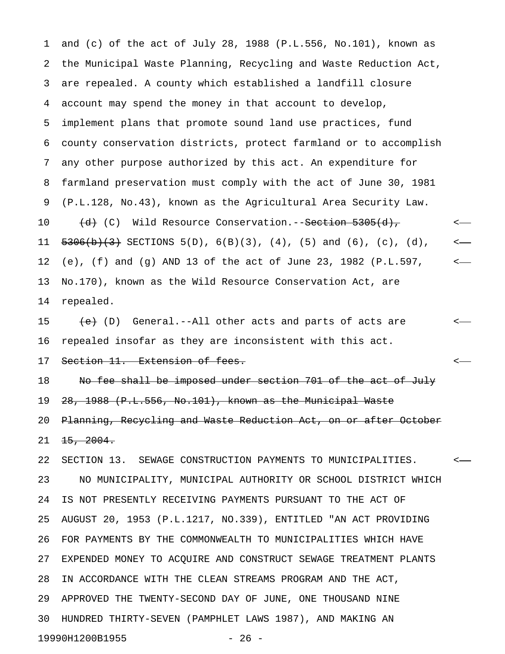1 and (c) of the act of July 28, 1988 (P.L.556, No.101), known as 2 the Municipal Waste Planning, Recycling and Waste Reduction Act, 3 are repealed. A county which established a landfill closure 4 account may spend the money in that account to develop, 5 implement plans that promote sound land use practices, fund 6 county conservation districts, protect farmland or to accomplish 7 any other purpose authorized by this act. An expenditure for 8 farmland preservation must comply with the act of June 30, 1981 9 (P.L.128, No.43), known as the Agricultural Area Security Law. 10 (d) (C) Wild Resource Conservation.--<del>Section 5305(d),</del>  $\leftarrow$ 11  $\frac{5306(b)(3)}{3}$  SECTIONS 5(D), 6(B)(3), (4), (5) and (6), (c), (d), <— 12 (e), (f) and (g) AND 13 of the act of June 23, 1982 (P.L.597, < 13 No.170), known as the Wild Resource Conservation Act, are 14 repealed.

15 (e) (D) General.--All other acts and parts of acts are  $\leq$ 16 repealed insofar as they are inconsistent with this act. 17 Section 11. Extension of fees. <

18 No fee shall be imposed under section 701 of the act of July 19 28, 1988 (P.L.556, No.101), known as the Municipal Waste 20 Planning, Recycling and Waste Reduction Act, on or after October  $21 \quad 15, \quad 2004.$ 

22 SECTION 13. SEWAGE CONSTRUCTION PAYMENTS TO MUNICIPALITIES. < 23 NO MUNICIPALITY, MUNICIPAL AUTHORITY OR SCHOOL DISTRICT WHICH 24 IS NOT PRESENTLY RECEIVING PAYMENTS PURSUANT TO THE ACT OF 25 AUGUST 20, 1953 (P.L.1217, NO.339), ENTITLED "AN ACT PROVIDING 26 FOR PAYMENTS BY THE COMMONWEALTH TO MUNICIPALITIES WHICH HAVE 27 EXPENDED MONEY TO ACQUIRE AND CONSTRUCT SEWAGE TREATMENT PLANTS 28 IN ACCORDANCE WITH THE CLEAN STREAMS PROGRAM AND THE ACT, 29 APPROVED THE TWENTY-SECOND DAY OF JUNE, ONE THOUSAND NINE 30 HUNDRED THIRTY-SEVEN (PAMPHLET LAWS 1987), AND MAKING AN 19990H1200B1955 - 26 -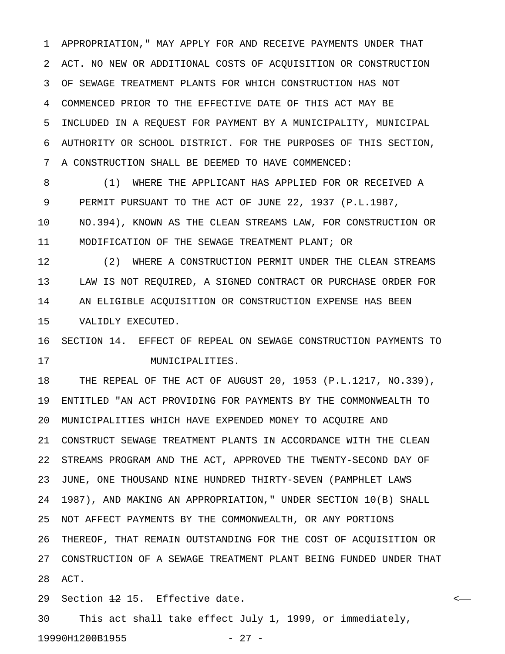1 APPROPRIATION," MAY APPLY FOR AND RECEIVE PAYMENTS UNDER THAT 2 ACT. NO NEW OR ADDITIONAL COSTS OF ACQUISITION OR CONSTRUCTION 3 OF SEWAGE TREATMENT PLANTS FOR WHICH CONSTRUCTION HAS NOT 4 COMMENCED PRIOR TO THE EFFECTIVE DATE OF THIS ACT MAY BE 5 INCLUDED IN A REQUEST FOR PAYMENT BY A MUNICIPALITY, MUNICIPAL 6 AUTHORITY OR SCHOOL DISTRICT. FOR THE PURPOSES OF THIS SECTION, 7 A CONSTRUCTION SHALL BE DEEMED TO HAVE COMMENCED:

8 (1) WHERE THE APPLICANT HAS APPLIED FOR OR RECEIVED A 9 PERMIT PURSUANT TO THE ACT OF JUNE 22, 1937 (P.L.1987, 10 NO.394), KNOWN AS THE CLEAN STREAMS LAW, FOR CONSTRUCTION OR 11 MODIFICATION OF THE SEWAGE TREATMENT PLANT; OR

12 (2) WHERE A CONSTRUCTION PERMIT UNDER THE CLEAN STREAMS 13 LAW IS NOT REQUIRED, A SIGNED CONTRACT OR PURCHASE ORDER FOR 14 AN ELIGIBLE ACQUISITION OR CONSTRUCTION EXPENSE HAS BEEN 15 VALIDLY EXECUTED.

16 SECTION 14. EFFECT OF REPEAL ON SEWAGE CONSTRUCTION PAYMENTS TO 17 MUNICIPALITIES.

18 THE REPEAL OF THE ACT OF AUGUST 20, 1953 (P.L.1217, NO.339), 19 ENTITLED "AN ACT PROVIDING FOR PAYMENTS BY THE COMMONWEALTH TO 20 MUNICIPALITIES WHICH HAVE EXPENDED MONEY TO ACQUIRE AND 21 CONSTRUCT SEWAGE TREATMENT PLANTS IN ACCORDANCE WITH THE CLEAN 22 STREAMS PROGRAM AND THE ACT, APPROVED THE TWENTY-SECOND DAY OF 23 JUNE, ONE THOUSAND NINE HUNDRED THIRTY-SEVEN (PAMPHLET LAWS 24 1987), AND MAKING AN APPROPRIATION," UNDER SECTION 10(B) SHALL 25 NOT AFFECT PAYMENTS BY THE COMMONWEALTH, OR ANY PORTIONS 26 THEREOF, THAT REMAIN OUTSTANDING FOR THE COST OF ACQUISITION OR 27 CONSTRUCTION OF A SEWAGE TREATMENT PLANT BEING FUNDED UNDER THAT 28 ACT.

29 Section <del>12</del> 15. Effective date.

30 This act shall take effect July 1, 1999, or immediately, 19990H1200B1955 - 27 -